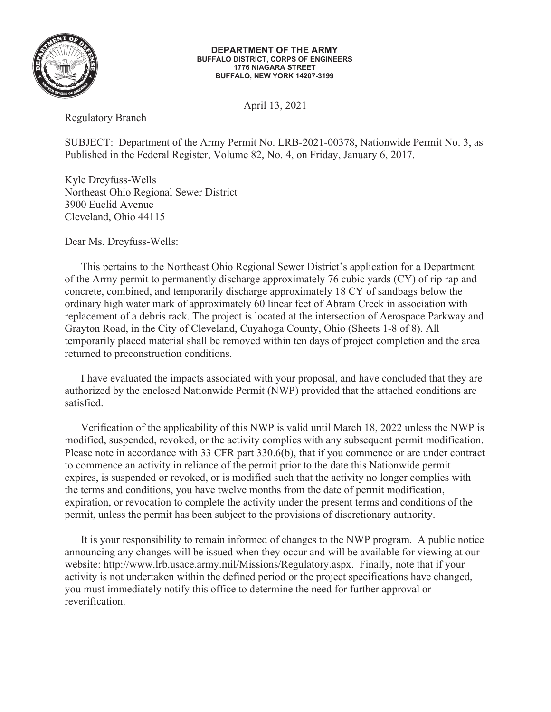

## **DEPARTMENT OF THE ARMY BUFFALO DISTRICT, CORPS OF ENGINEERS 1776 NIAGARA STREET BUFFALO, NEW YORK 14207-3199**

April 13, 2021

Regulatory Branch

SUBJECT: Department of the Army Permit No. LRB-2021-00378, Nationwide Permit No. 3, as Published in the Federal Register, Volume 82, No. 4, on Friday, January 6, 2017.

Kyle Dreyfuss-Wells Northeast Ohio Regional Sewer District 3900 Euclid Avenue Cleveland, Ohio 44115

Dear Ms. Dreyfuss-Wells:

This pertains to the Northeast Ohio Regional Sewer District's application for a Department of the Army permit to permanently discharge approximately 76 cubic yards (CY) of rip rap and concrete, combined, and temporarily discharge approximately 18 CY of sandbags below the ordinary high water mark of approximately 60 linear feet of Abram Creek in association with replacement of a debris rack. The project is located at the intersection of Aerospace Parkway and Grayton Road, in the City of Cleveland, Cuyahoga County, Ohio (Sheets 1-8 of 8). All temporarily placed material shall be removed within ten days of project completion and the area returned to preconstruction conditions.

 I have evaluated the impacts associated with your proposal, and have concluded that they are authorized by the enclosed Nationwide Permit (NWP) provided that the attached conditions are satisfied.

 Verification of the applicability of this NWP is valid until March 18, 2022 unless the NWP is modified, suspended, revoked, or the activity complies with any subsequent permit modification. Please note in accordance with 33 CFR part 330.6(b), that if you commence or are under contract to commence an activity in reliance of the permit prior to the date this Nationwide permit expires, is suspended or revoked, or is modified such that the activity no longer complies with the terms and conditions, you have twelve months from the date of permit modification, expiration, or revocation to complete the activity under the present terms and conditions of the permit, unless the permit has been subject to the provisions of discretionary authority.

 It is your responsibility to remain informed of changes to the NWP program. A public notice announcing any changes will be issued when they occur and will be available for viewing at our website: http://www.lrb.usace.army.mil/Missions/Regulatory.aspx. Finally, note that if your activity is not undertaken within the defined period or the project specifications have changed, you must immediately notify this office to determine the need for further approval or reverification.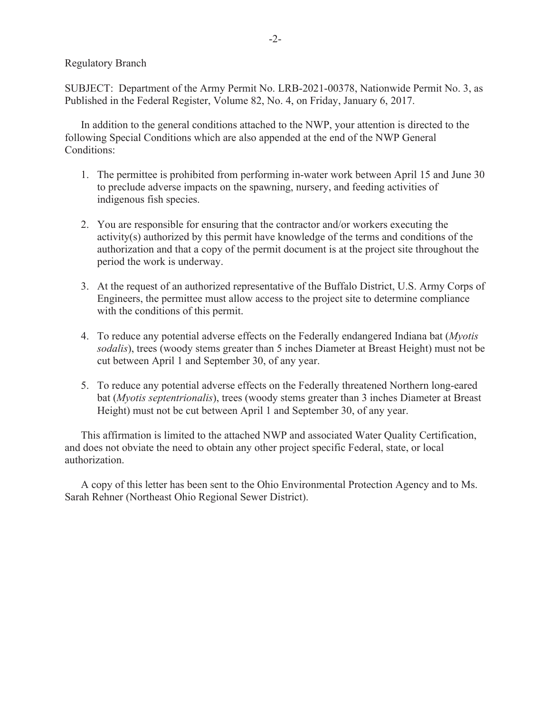Regulatory Branch

SUBJECT: Department of the Army Permit No. LRB-2021-00378, Nationwide Permit No. 3, as Published in the Federal Register, Volume 82, No. 4, on Friday, January 6, 2017.

 In addition to the general conditions attached to the NWP, your attention is directed to the following Special Conditions which are also appended at the end of the NWP General Conditions:

- 1. The permittee is prohibited from performing in-water work between April 15 and June 30 to preclude adverse impacts on the spawning, nursery, and feeding activities of indigenous fish species.
- 2. You are responsible for ensuring that the contractor and/or workers executing the activity(s) authorized by this permit have knowledge of the terms and conditions of the authorization and that a copy of the permit document is at the project site throughout the period the work is underway.
- 3. At the request of an authorized representative of the Buffalo District, U.S. Army Corps of Engineers, the permittee must allow access to the project site to determine compliance with the conditions of this permit.
- 4. To reduce any potential adverse effects on the Federally endangered Indiana bat (*Myotis sodalis*), trees (woody stems greater than 5 inches Diameter at Breast Height) must not be cut between April 1 and September 30, of any year.
- 5. To reduce any potential adverse effects on the Federally threatened Northern long-eared bat (*Myotis septentrionalis*), trees (woody stems greater than 3 inches Diameter at Breast Height) must not be cut between April 1 and September 30, of any year.

This affirmation is limited to the attached NWP and associated Water Quality Certification, and does not obviate the need to obtain any other project specific Federal, state, or local authorization.

 A copy of this letter has been sent to the Ohio Environmental Protection Agency and to Ms. Sarah Rehner (Northeast Ohio Regional Sewer District).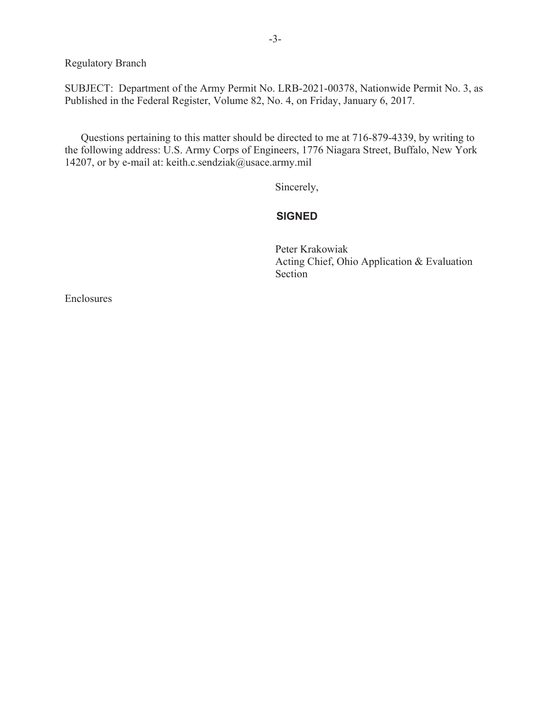Regulatory Branch

SUBJECT: Department of the Army Permit No. LRB-2021-00378, Nationwide Permit No. 3, as Published in the Federal Register, Volume 82, No. 4, on Friday, January 6, 2017.

 Questions pertaining to this matter should be directed to me at 716-879-4339, by writing to the following address: U.S. Army Corps of Engineers, 1776 Niagara Street, Buffalo, New York 14207, or by e-mail at: keith.c.sendziak@usace.army.mil

Sincerely,

## **SIGNED**

Peter Krakowiak Peter Acting Chief, Ohio Application & Evaluation Section

Enclosures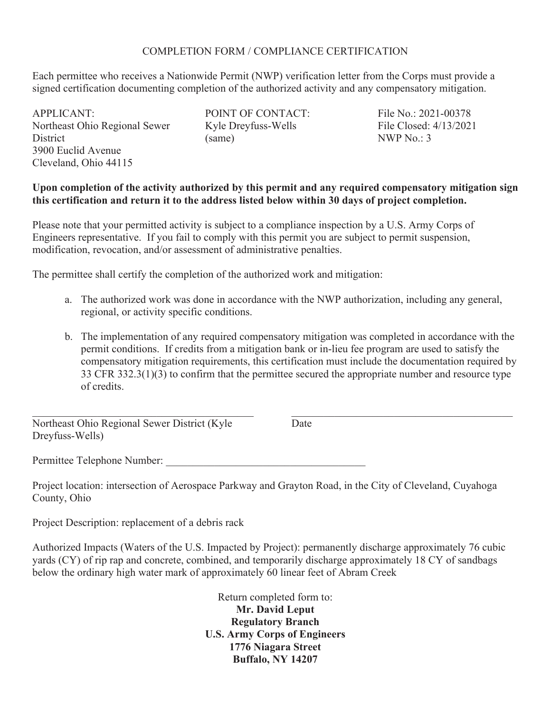## COMPLETION FORM / COMPLIANCE CERTIFICATION

Each permittee who receives a Nationwide Permit (NWP) verification letter from the Corps must provide a signed certification documenting completion of the authorized activity and any compensatory mitigation.

APPLICANT: Northeast Ohio Regional Sewer **District** 3900 Euclid Avenue Cleveland, Ohio 44115

POINT OF CONTACT: Kyle Dreyfuss-Wells (same)

File No.: 2021-00378 File Closed: 4/13/2021 NWP No.: 3

## **Upon completion of the activity authorized by this permit and any required compensatory mitigation sign this certification and return it to the address listed below within 30 days of project completion.**

Please note that your permitted activity is subject to a compliance inspection by a U.S. Army Corps of Engineers representative. If you fail to comply with this permit you are subject to permit suspension, modification, revocation, and/or assessment of administrative penalties.

The permittee shall certify the completion of the authorized work and mitigation:

- a. The authorized work was done in accordance with the NWP authorization, including any general, regional, or activity specific conditions.
- b. The implementation of any required compensatory mitigation was completed in accordance with the permit conditions. If credits from a mitigation bank or in-lieu fee program are used to satisfy the compensatory mitigation requirements, this certification must include the documentation required by 33 CFR 332.3(1)(3) to confirm that the permittee secured the appropriate number and resource type of credits.

Northeast Ohio Regional Sewer District (Kyle Dreyfuss-Wells)

Date

Permittee Telephone Number:

Project location: intersection of Aerospace Parkway and Grayton Road, in the City of Cleveland, Cuyahoga County, Ohio

Project Description: replacement of a debris rack

Authorized Impacts (Waters of the U.S. Impacted by Project): permanently discharge approximately 76 cubic yards (CY) of rip rap and concrete, combined, and temporarily discharge approximately 18 CY of sandbags below the ordinary high water mark of approximately 60 linear feet of Abram Creek

> Return completed form to: **Mr. David Leput Regulatory Branch U.S. Army Corps of Engineers 1776 Niagara Street Buffalo, NY 14207**